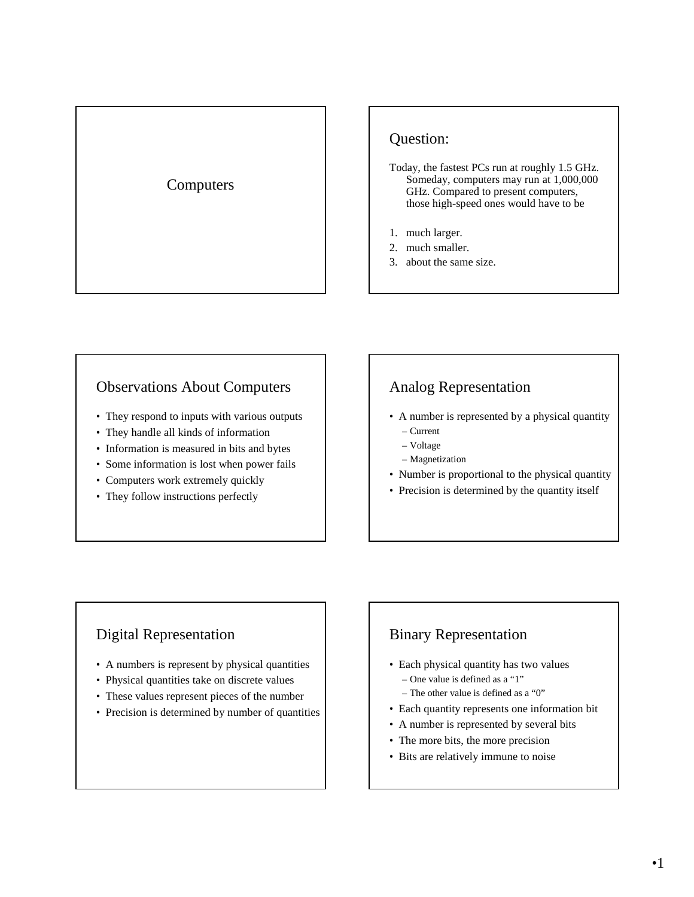# Computers

## Question:

- Today, the fastest PCs run at roughly 1.5 GHz. Someday, computers may run at 1,000,000 GHz. Compared to present computers, those high-speed ones would have to be
- 1. much larger.
- 2. much smaller.
- 3. about the same size.

#### Observations About Computers

- They respond to inputs with various outputs
- They handle all kinds of information
- Information is measured in bits and bytes
- Some information is lost when power fails
- Computers work extremely quickly
- They follow instructions perfectly

# Analog Representation

- A number is represented by a physical quantity
	- Current
	- Voltage
	- Magnetization
- Number is proportional to the physical quantity
- Precision is determined by the quantity itself

## Digital Representation

- A numbers is represent by physical quantities
- Physical quantities take on discrete values
- These values represent pieces of the number
- Precision is determined by number of quantities

## Binary Representation

- Each physical quantity has two values – One value is defined as a "1"
	- The other value is defined as a "0"
- Each quantity represents one information bit
- A number is represented by several bits
- The more bits, the more precision
- Bits are relatively immune to noise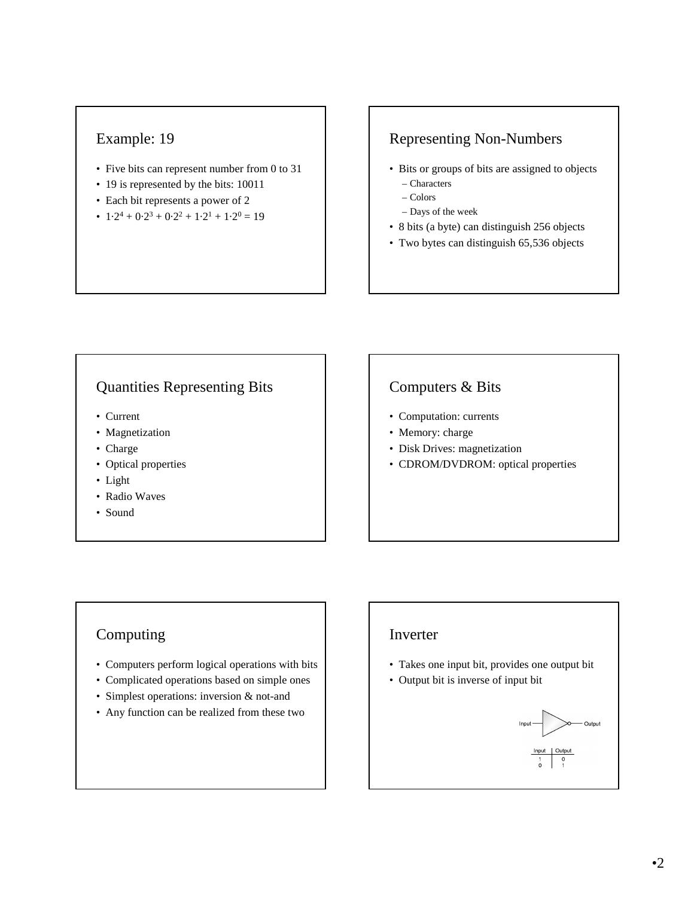## Example: 19

- Five bits can represent number from 0 to 31
- 19 is represented by the bits: 10011
- Each bit represents a power of 2
- $1\cdot2^4 + 0\cdot2^3 + 0\cdot2^2 + 1\cdot2^1 + 1\cdot2^0 = 19$

# Representing Non-Numbers

- Bits or groups of bits are assigned to objects – Characters
	- Colors
	- Days of the week
- 8 bits (a byte) can distinguish 256 objects
- Two bytes can distinguish 65,536 objects

## Quantities Representing Bits

- Current
- Magnetization
- Charge
- Optical properties
- Light
- Radio Waves
- Sound

# Computers & Bits

- Computation: currents
- Memory: charge
- Disk Drives: magnetization
- CDROM/DVDROM: optical properties

## Computing

- Computers perform logical operations with bits
- Complicated operations based on simple ones
- Simplest operations: inversion & not-and
- Any function can be realized from these two

#### Inverter

- Takes one input bit, provides one output bit
- Output bit is inverse of input bit

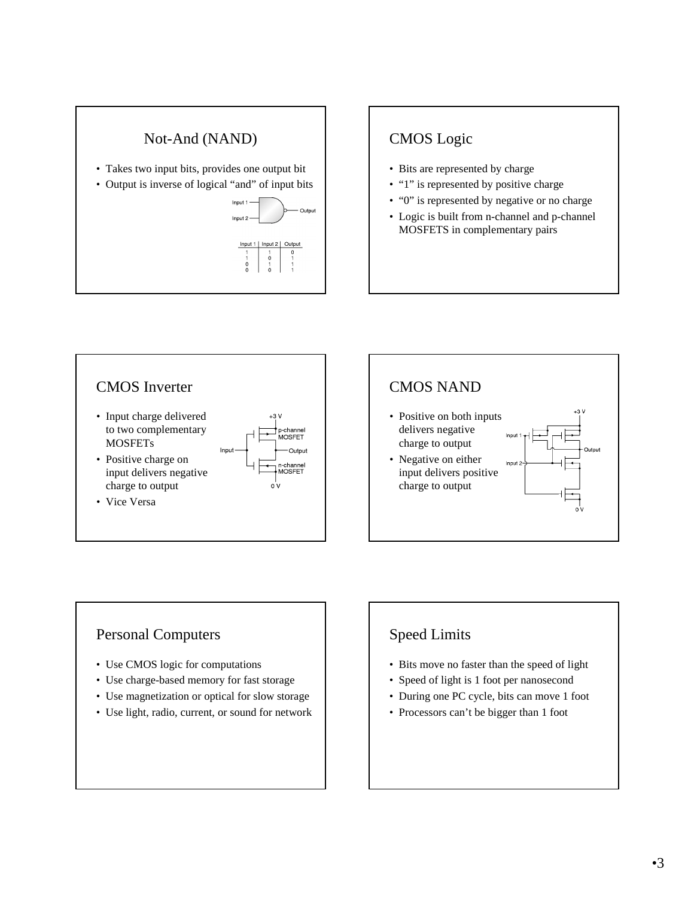

- Takes two input bits, provides one output bit
- Output is inverse of logical "and" of input bits



# CMOS Logic

- Bits are represented by charge
- "1" is represented by positive charge
- "0" is represented by negative or no charge
- Logic is built from n-channel and p-channel MOSFETS in complementary pairs





## Personal Computers

- Use CMOS logic for computations
- Use charge-based memory for fast storage
- Use magnetization or optical for slow storage
- Use light, radio, current, or sound for network

# Speed Limits

- Bits move no faster than the speed of light
- Speed of light is 1 foot per nanosecond
- During one PC cycle, bits can move 1 foot
- Processors can't be bigger than 1 foot